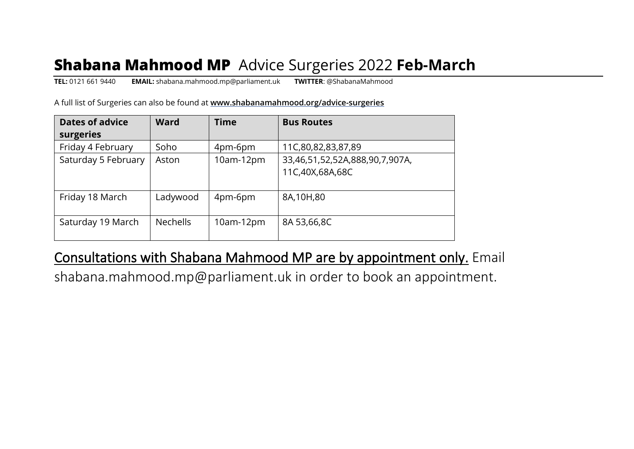# **Shabana Mahmood MP** Advice Surgeries 2022 **Feb-March**

**TEL:** 0121 661 9440 **EMAIL:** shabana.mahmood.mp@parliament.uk **TWITTER**: @ShabanaMahmood

A full list of Surgeries can also be found at **www.shabanamahmood.org/advice-surgeries**

| <b>Dates of advice</b> | <b>Ward</b>     | <b>Time</b> | <b>Bus Routes</b>              |
|------------------------|-----------------|-------------|--------------------------------|
| surgeries              |                 |             |                                |
| Friday 4 February      | Soho            | 4pm-6pm     | 11C,80,82,83,87,89             |
| Saturday 5 February    | Aston           | 10am-12pm   | 33,46,51,52,52A,888,90,7,907A, |
|                        |                 |             | 11C,40X,68A,68C                |
|                        |                 |             |                                |
| Friday 18 March        | Ladywood        | 4pm-6pm     | 8A,10H,80                      |
|                        |                 |             |                                |
| Saturday 19 March      | <b>Nechells</b> | $10am-12pm$ | 8A 53,66,8C                    |
|                        |                 |             |                                |

#### Consultations with Shabana Mahmood MP are by appointment only. Email

shabana.mahmood.mp@parliament.uk in order to book an appointment.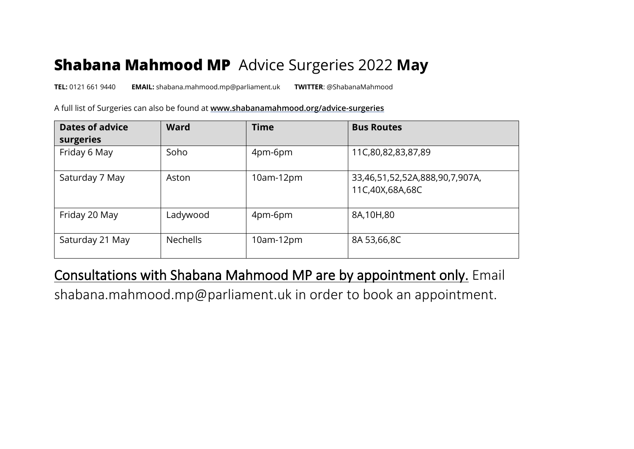## **Shabana Mahmood MP** Advice Surgeries 2022 **May**

**TEL:** 0121 661 9440 **EMAIL:** shabana.mahmood.mp@parliament.uk **TWITTER**: @ShabanaMahmood

A full list of Surgeries can also be found at **www.shabanamahmood.org/advice-surgeries**

| <b>Dates of advice</b><br>surgeries | <b>Ward</b>     | <b>Time</b> | <b>Bus Routes</b>                                 |
|-------------------------------------|-----------------|-------------|---------------------------------------------------|
| Friday 6 May                        | Soho            | 4pm-6pm     | 11C,80,82,83,87,89                                |
| Saturday 7 May                      | Aston           | $10am-12pm$ | 33,46,51,52,52A,888,90,7,907A,<br>11C,40X,68A,68C |
| Friday 20 May                       | Ladywood        | 4pm-6pm     | 8A,10H,80                                         |
| Saturday 21 May                     | <b>Nechells</b> | $10am-12pm$ | 8A 53,66,8C                                       |

#### Consultations with Shabana Mahmood MP are by appointment only. Email

shabana.mahmood.mp@parliament.uk in order to book an appointment.